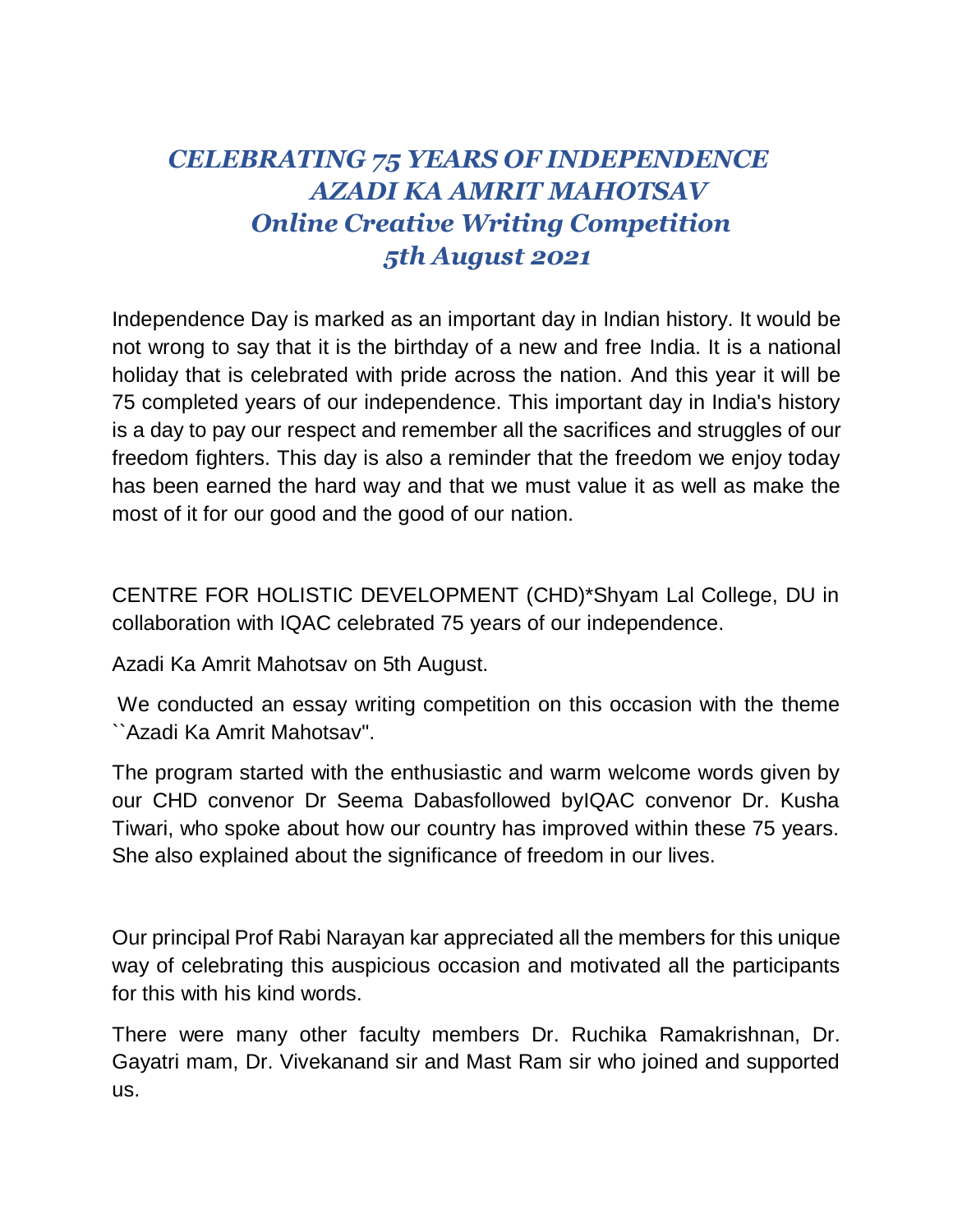## *CELEBRATING 75 YEARS OF INDEPENDENCE AZADI KA AMRIT MAHOTSAV Online Creative Writing Competition 5th August 2021*

Independence Day is marked as an important day in Indian history. It would be not wrong to say that it is the birthday of a new and free India. It is a national holiday that is celebrated with pride across the nation. And this year it will be 75 completed years of our independence. This important day in India's history is a day to pay our respect and remember all the sacrifices and struggles of our freedom fighters. This day is also a reminder that the freedom we enjoy today has been earned the hard way and that we must value it as well as make the most of it for our good and the good of our nation.

CENTRE FOR HOLISTIC DEVELOPMENT (CHD)\*Shyam Lal College, DU in collaboration with IQAC celebrated 75 years of our independence.

Azadi Ka Amrit Mahotsav on 5th August.

We conducted an essay writing competition on this occasion with the theme ``Azadi Ka Amrit Mahotsav".

The program started with the enthusiastic and warm welcome words given by our CHD convenor Dr Seema Dabasfollowed byIQAC convenor Dr. Kusha Tiwari, who spoke about how our country has improved within these 75 years. She also explained about the significance of freedom in our lives.

Our principal Prof Rabi Narayan kar appreciated all the members for this unique way of celebrating this auspicious occasion and motivated all the participants for this with his kind words.

There were many other faculty members Dr. Ruchika Ramakrishnan, Dr. Gayatri mam, Dr. Vivekanand sir and Mast Ram sir who joined and supported us.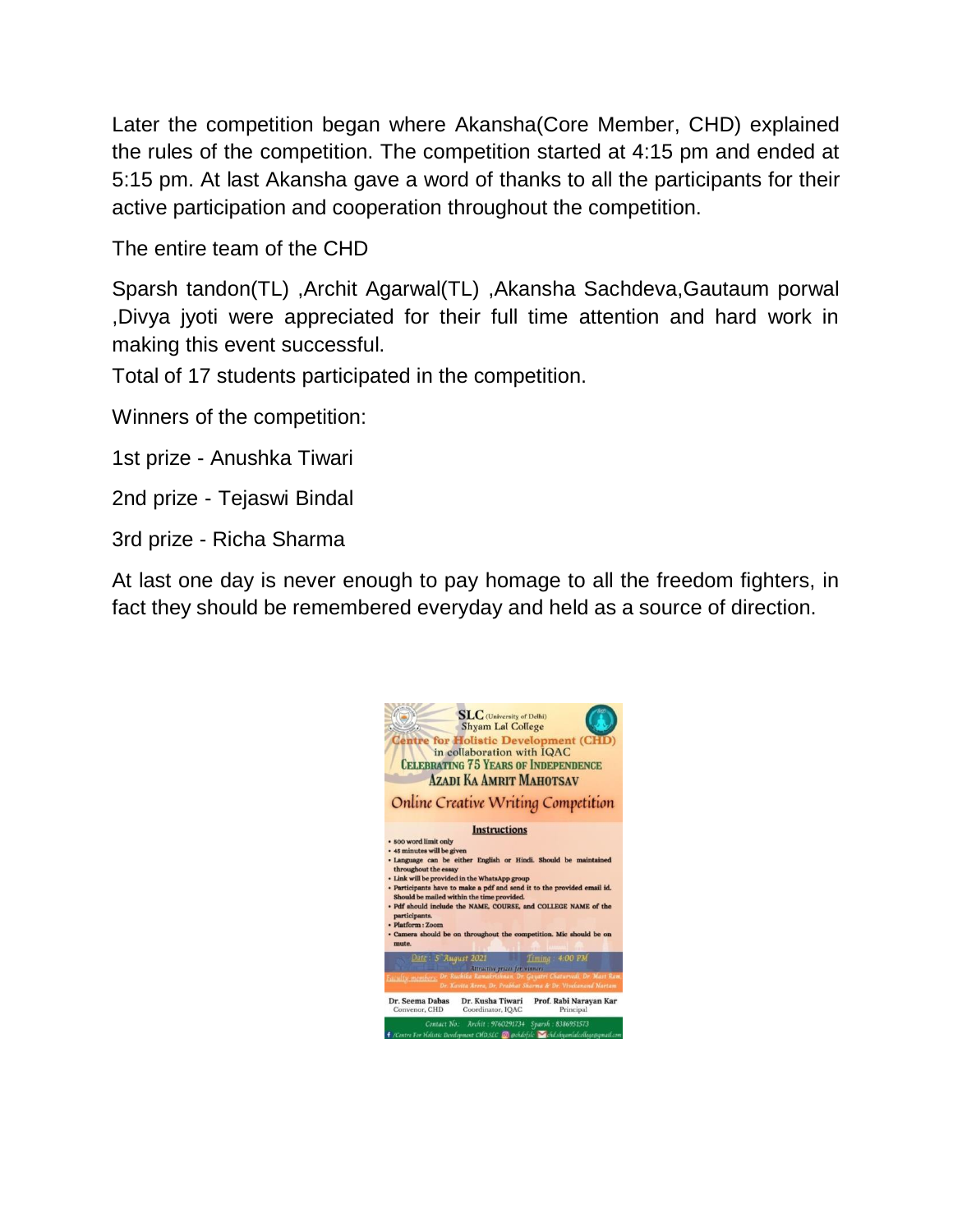Later the competition began where Akansha(Core Member, CHD) explained the rules of the competition. The competition started at 4:15 pm and ended at 5:15 pm. At last Akansha gave a word of thanks to all the participants for their active participation and cooperation throughout the competition.

The entire team of the CHD

Sparsh tandon(TL) ,Archit Agarwal(TL) ,Akansha Sachdeva,Gautaum porwal ,Divya jyoti were appreciated for their full time attention and hard work in making this event successful.

Total of 17 students participated in the competition.

Winners of the competition:

1st prize - Anushka Tiwari

2nd prize - Tejaswi Bindal

3rd prize - Richa Sharma

At last one day is never enough to pay homage to all the freedom fighters, in fact they should be remembered everyday and held as a source of direction.

| $SLC$ (University of Delhi)<br><b>Shyam Lal College</b><br><b>Centre for Holistic Development (CHD)</b><br>in collaboration with IQAC<br><b>CELEBRATING 75 YEARS OF INDEPENDENCE</b><br><b>AZADI KA AMRIT MAHOTSAV</b><br><b>Online Creative Writing Competition</b>                                                                                                                                                                                                                                            |
|-----------------------------------------------------------------------------------------------------------------------------------------------------------------------------------------------------------------------------------------------------------------------------------------------------------------------------------------------------------------------------------------------------------------------------------------------------------------------------------------------------------------|
| <b>Instructions</b>                                                                                                                                                                                                                                                                                                                                                                                                                                                                                             |
| · 500 word limit only<br>· 45 minutes will be given<br>· Language can be either English or Hindi. Should be maintained<br>throughout the essay<br>· Link will be provided in the WhatsApp group<br>· Participants have to make a pdf and send it to the provided email id.<br>Should be mailed within the time provided.<br>· Pdf should include the NAME, COURSE, and COLLEGE NAME of the<br>participants.<br>· Platform : Zoom<br>· Camera should be on throughout the competition. Mic should be on<br>mute. |
| Date: 5 August 2021<br>$1$ Timing: 4:00 PM                                                                                                                                                                                                                                                                                                                                                                                                                                                                      |
| Attractive prizes for winners<br>Dr. Ruchika Ramakrishnan, Dr. Gayatri Chaturvedi, Dr. Mast Ram<br><b>Faculty members</b><br>Dr. Kavita Arora, Dr. Prabhat Sharma & Dr. Vivekanand Nartam                                                                                                                                                                                                                                                                                                                       |
| Dr. Seema Dahas<br>Dr. Kusha Tiwari<br>Prof. Rabi Narayan Kar<br>Convenor, CHD<br>Coordinator, IQAC<br>Principal                                                                                                                                                                                                                                                                                                                                                                                                |
| Contact No. Archit : 9760291734<br>Sparsh : 8386951573<br>/Centre For Holistic Development CHD.SLC   @chdofslc   chd.shyamlalcollege@qmail.com                                                                                                                                                                                                                                                                                                                                                                  |